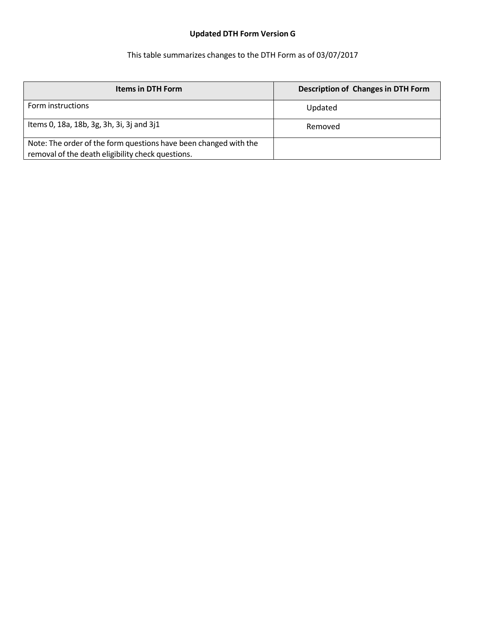## **Updated DTH Form Version G**

## This table summarizes changes to the DTH Form as of 03/07/2017

| <b>Items in DTH Form</b>                                                                                              | <b>Description of Changes in DTH Form</b> |
|-----------------------------------------------------------------------------------------------------------------------|-------------------------------------------|
| Form instructions                                                                                                     | Updated                                   |
| Items 0, 18a, 18b, 3g, 3h, 3i, 3j and 3j1                                                                             | Removed                                   |
| Note: The order of the form questions have been changed with the<br>removal of the death eligibility check questions. |                                           |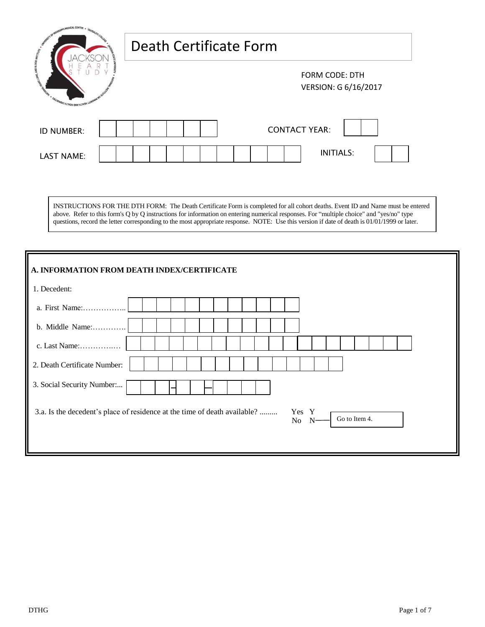| <b>LOD COLLECT</b>                          | Death Certificate Form                        |  |  |
|---------------------------------------------|-----------------------------------------------|--|--|
| <b>SULIVESIG HITVEH ONVHITV<sup>2</sup></b> | <b>FORM CODE: DTH</b><br>VERSION: G 6/16/2017 |  |  |
| ID NUMBER:                                  | <b>CONTACT YEAR:</b>                          |  |  |
| <b>LAST NAME:</b>                           | <b>INITIALS:</b>                              |  |  |

INSTRUCTIONS FOR THE DTH FORM: The Death Certificate Form is completed for all cohort deaths. Event ID and Name must be entered above. Refer to this form's Q by Q instructions for information on entering numerical responses. For "multiple choice" and "yes/no" type questions, record the letter corresponding to the most appropriate response. NOTE: Use this version if date of death is 01/01/1999 or later.

| A. INFORMATION FROM DEATH INDEX/CERTIFICATE                                                                     |
|-----------------------------------------------------------------------------------------------------------------|
| 1. Decedent:                                                                                                    |
| a. First Name:                                                                                                  |
| b. Middle Name:                                                                                                 |
| c. Last Name:                                                                                                   |
| 2. Death Certificate Number:                                                                                    |
| 3. Social Security Number                                                                                       |
| 3.a. Is the decedent's place of residence at the time of death available?<br>Yes Y<br>Go to Item 4.<br>No<br>-N |
|                                                                                                                 |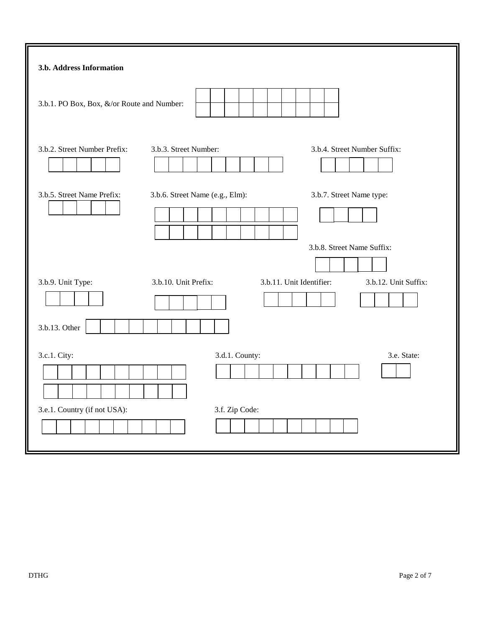| 3.b.1. PO Box, Box, &/or Route and Number:                                                                                  |
|-----------------------------------------------------------------------------------------------------------------------------|
|                                                                                                                             |
| 3.b.2. Street Number Prefix:<br>3.b.3. Street Number:<br>3.b.4. Street Number Suffix:                                       |
| 3.b.5. Street Name Prefix:<br>3.b.7. Street Name type:<br>3.b.6. Street Name (e.g., Elm):                                   |
| 3.b.8. Street Name Suffix:<br>3.b.11. Unit Identifier:<br>3.b.9. Unit Type:<br>3.b.10. Unit Prefix:<br>3.b.12. Unit Suffix: |
|                                                                                                                             |
| 3.b.13. Other<br>3.c.1. City:<br>3.d.1. County:<br>3.e. State:                                                              |
| 3.e.1. Country (if not USA):<br>3.f. Zip Code:                                                                              |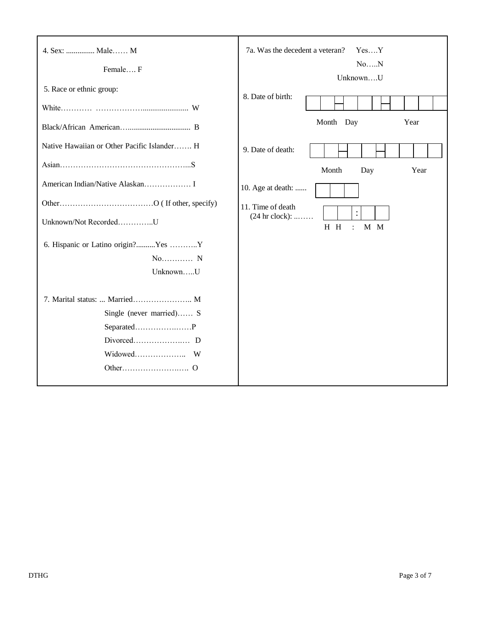| 4. Sex:  Male M                             | 7a. Was the decedent a veteran?<br>YesY<br>NoN   |
|---------------------------------------------|--------------------------------------------------|
| Female F                                    | UnknownU                                         |
| 5. Race or ethnic group:                    |                                                  |
|                                             | 8. Date of birth:                                |
|                                             | Month Day<br>Year                                |
| Native Hawaiian or Other Pacific Islander H | 9. Date of death:                                |
|                                             | Month<br>Day<br>Year                             |
|                                             | 10. Age at death:                                |
|                                             | 11. Time of death<br>$\ddot{\cdot}$              |
| Unknown/Not RecordedU                       | $(24 hr clock):$<br>M M<br>H H<br>$\ddot{\cdot}$ |
| 6. Hispanic or Latino origin?Yes Y          |                                                  |
| $No$ $N$                                    |                                                  |
| UnknownU                                    |                                                  |
| 7. Marital status:  Married M               |                                                  |
| Single (never married) S                    |                                                  |
|                                             |                                                  |
|                                             |                                                  |
|                                             |                                                  |
|                                             |                                                  |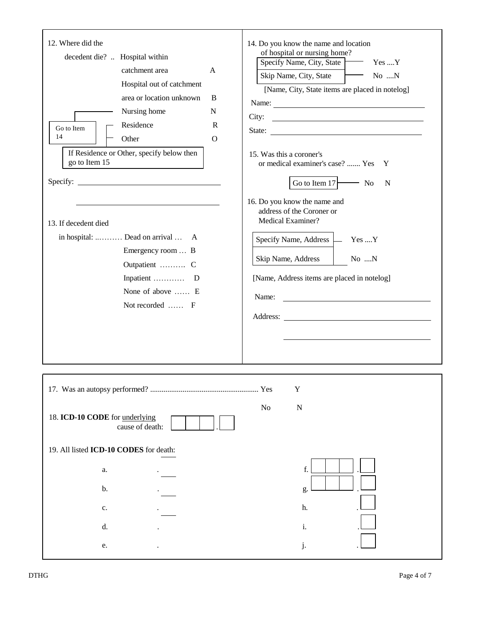| 12. Where did the<br>decedent die?  Hospital within<br>catchment area<br>Hospital out of catchment<br>area or location unknown<br>Nursing home<br>Residence<br>Go to Item<br>14<br>Other<br>If Residence or Other, specify below then<br>go to Item 15<br>13. If decedent died<br>in hospital:  Dead on arrival  A<br>Emergency room  B<br>Outpatient  C<br>None of above  E<br>Not recorded  F | 14. Do you know the name and location<br>of hospital or nursing home?<br>Specify Name, City, State Yes  Y<br>A<br>Skip Name, City, State<br>No N<br>[Name, City, State items are placed in notelog]<br>B<br>N<br>$\mathbb{R}$<br>State:<br>$\Omega$<br>15. Was this a coroner's<br>or medical examiner's case?  Yes Y<br>Go to Item $17$ No<br>N<br>16. Do you know the name and<br>address of the Coroner or<br>Medical Examiner?<br>Specify Name, Address — Yes  Y<br>Skip Name, Address<br>$\sim$ No N<br>[Name, Address items are placed in notelog]<br>Name:<br>Address: <u>and the same of the same of the same of the same of the same of the same of the same of the same of the same of the same of the same of the same of the same of the same of the same of the same of the same of the </u> |
|-------------------------------------------------------------------------------------------------------------------------------------------------------------------------------------------------------------------------------------------------------------------------------------------------------------------------------------------------------------------------------------------------|-----------------------------------------------------------------------------------------------------------------------------------------------------------------------------------------------------------------------------------------------------------------------------------------------------------------------------------------------------------------------------------------------------------------------------------------------------------------------------------------------------------------------------------------------------------------------------------------------------------------------------------------------------------------------------------------------------------------------------------------------------------------------------------------------------------|
|                                                                                                                                                                                                                                                                                                                                                                                                 | Y                                                                                                                                                                                                                                                                                                                                                                                                                                                                                                                                                                                                                                                                                                                                                                                                         |
| 18. ICD-10 CODE for underlying<br>cause of death:                                                                                                                                                                                                                                                                                                                                               | ${\bf N}$<br>No                                                                                                                                                                                                                                                                                                                                                                                                                                                                                                                                                                                                                                                                                                                                                                                           |
| 19. All listed ICD-10 CODES for death:                                                                                                                                                                                                                                                                                                                                                          |                                                                                                                                                                                                                                                                                                                                                                                                                                                                                                                                                                                                                                                                                                                                                                                                           |
| a.                                                                                                                                                                                                                                                                                                                                                                                              | f.                                                                                                                                                                                                                                                                                                                                                                                                                                                                                                                                                                                                                                                                                                                                                                                                        |
| b.                                                                                                                                                                                                                                                                                                                                                                                              | g.                                                                                                                                                                                                                                                                                                                                                                                                                                                                                                                                                                                                                                                                                                                                                                                                        |
| $\mathbf{C}$ .                                                                                                                                                                                                                                                                                                                                                                                  | h.                                                                                                                                                                                                                                                                                                                                                                                                                                                                                                                                                                                                                                                                                                                                                                                                        |
| d.                                                                                                                                                                                                                                                                                                                                                                                              | i.                                                                                                                                                                                                                                                                                                                                                                                                                                                                                                                                                                                                                                                                                                                                                                                                        |
| ${\bf e}.$                                                                                                                                                                                                                                                                                                                                                                                      | j.                                                                                                                                                                                                                                                                                                                                                                                                                                                                                                                                                                                                                                                                                                                                                                                                        |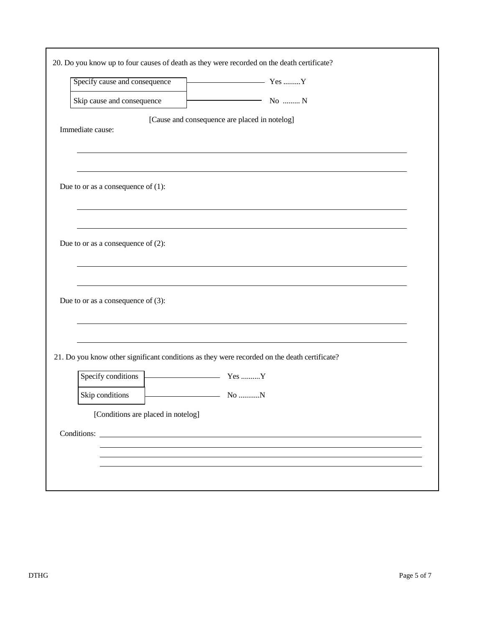| Specify cause and consequence         | $\overline{Y}$ $\overline{Y}$ $\overline{Y}$ $\overline{Y}$ $\overline{Y}$ $\overline{Y}$ $\overline{Y}$ $\overline{Y}$ |
|---------------------------------------|-------------------------------------------------------------------------------------------------------------------------|
| Skip cause and consequence            | $\overline{\hspace{1cm}}$ No  N                                                                                         |
|                                       | [Cause and consequence are placed in notelog]                                                                           |
| Immediate cause:                      |                                                                                                                         |
|                                       |                                                                                                                         |
|                                       |                                                                                                                         |
| Due to or as a consequence of $(1)$ : |                                                                                                                         |
|                                       |                                                                                                                         |
|                                       |                                                                                                                         |
|                                       |                                                                                                                         |
| Due to or as a consequence of $(2)$ : |                                                                                                                         |
|                                       |                                                                                                                         |
|                                       |                                                                                                                         |
| Due to or as a consequence of $(3)$ : |                                                                                                                         |
|                                       |                                                                                                                         |
|                                       |                                                                                                                         |
|                                       | 21. Do you know other significant conditions as they were recorded on the death certificate?                            |
|                                       |                                                                                                                         |
| Specify conditions<br>Yes Y           |                                                                                                                         |
| Skip conditions                       |                                                                                                                         |
| [Conditions are placed in notelog]    |                                                                                                                         |
|                                       |                                                                                                                         |
|                                       |                                                                                                                         |
|                                       |                                                                                                                         |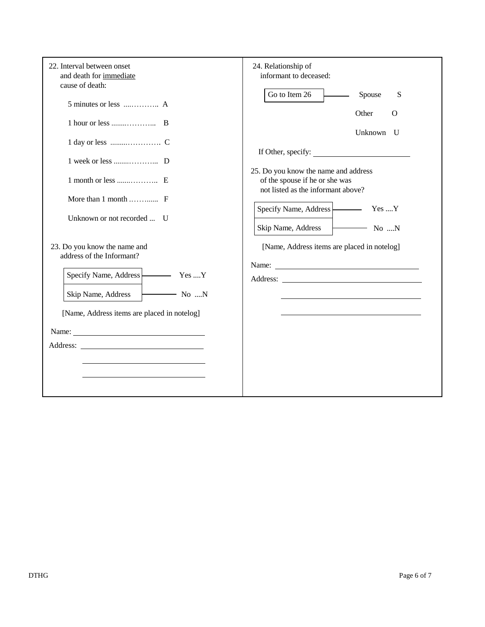| 22. Interval between onset<br>and death for immediate<br>cause of death: | 24. Relationship of<br>informant to deceased:                                                                |
|--------------------------------------------------------------------------|--------------------------------------------------------------------------------------------------------------|
|                                                                          | Go to Item 26<br>Spouse<br>S<br>$\overline{\phantom{a}}$                                                     |
|                                                                          | Other<br>$\Omega$<br>Unknown U                                                                               |
|                                                                          | If Other, specify:                                                                                           |
|                                                                          | 25. Do you know the name and address<br>of the spouse if he or she was<br>not listed as the informant above? |
| More than $1$ month $F$                                                  | Specify Name, Address   Yes  Y                                                                               |
| Unknown or not recorded  U                                               | Skip Name, Address   No N                                                                                    |
| 23. Do you know the name and<br>address of the Informant?                | [Name, Address items are placed in notelog]                                                                  |
| Specify Name, Address   Yes  Y                                           |                                                                                                              |
| $\overline{\phantom{a}}$ No $\ldots$ N<br>Skip Name, Address             |                                                                                                              |
| [Name, Address items are placed in notelog]                              |                                                                                                              |
|                                                                          |                                                                                                              |
|                                                                          |                                                                                                              |
|                                                                          |                                                                                                              |